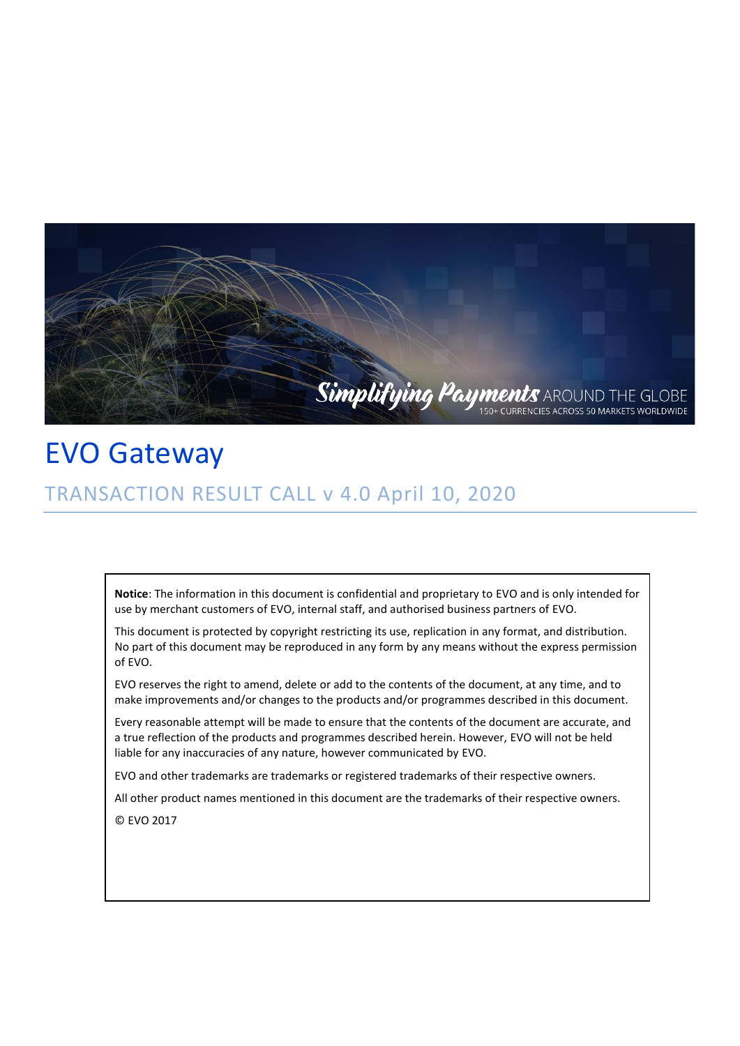

## EVO Gateway

## TRANSACTION RESULT CALL v 4.0 April 10, 2020

**Notice**: The information in this document is confidential and proprietary to EVO and is only intended for use by merchant customers of EVO, internal staff, and authorised business partners of EVO.

This document is protected by copyright restricting its use, replication in any format, and distribution. No part of this document may be reproduced in any form by any means without the express permission of EVO.

EVO reserves the right to amend, delete or add to the contents of the document, at any time, and to make improvements and/or changes to the products and/or programmes described in this document.

Every reasonable attempt will be made to ensure that the contents of the document are accurate, and a true reflection of the products and programmes described herein. However, EVO will not be held liable for any inaccuracies of any nature, however communicated by EVO.

EVO and other trademarks are trademarks or registered trademarks of their respective owners.

All other product names mentioned in this document are the trademarks of their respective owners.

© EVO 2017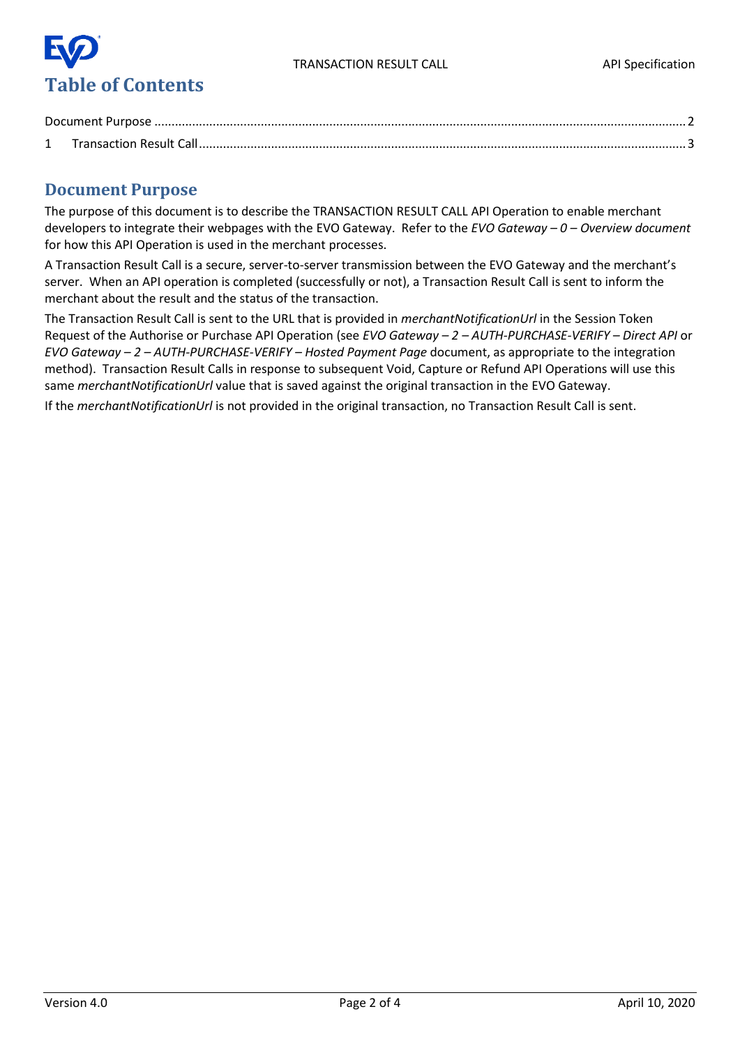

## <span id="page-1-0"></span>**Document Purpose**

The purpose of this document is to describe the TRANSACTION RESULT CALL API Operation to enable merchant developers to integrate their webpages with the EVO Gateway. Refer to the *EVO Gateway – 0 – Overview document* for how this API Operation is used in the merchant processes.

A Transaction Result Call is a secure, server-to-server transmission between the EVO Gateway and the merchant's server. When an API operation is completed (successfully or not), a Transaction Result Call is sent to inform the merchant about the result and the status of the transaction.

The Transaction Result Call is sent to the URL that is provided in *merchantNotificationUrl* in the Session Token Request of the Authorise or Purchase API Operation (see *EVO Gateway – 2 – AUTH-PURCHASE-VERIFY – Direct API* or *EVO Gateway – 2 – AUTH-PURCHASE-VERIFY – Hosted Payment Page* document, as appropriate to the integration method). Transaction Result Calls in response to subsequent Void, Capture or Refund API Operations will use this same *merchantNotificationUrl* value that is saved against the original transaction in the EVO Gateway.

If the *merchantNotificationUrl* is not provided in the original transaction, no [Transaction Result Call](#page-2-0) is sent.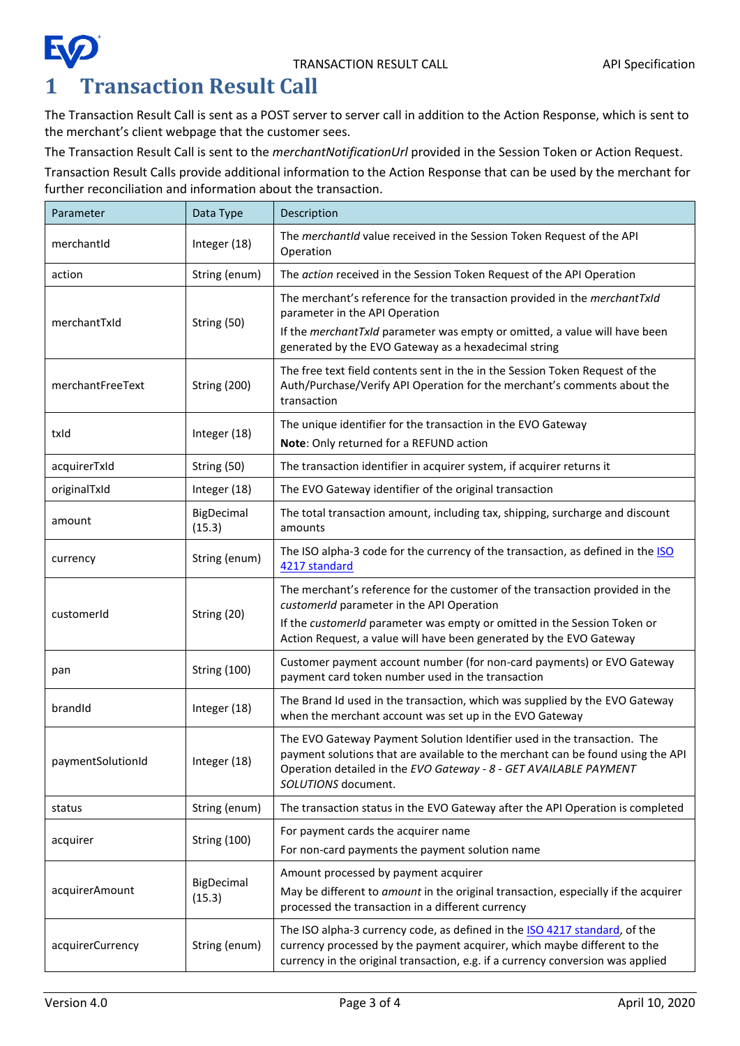

<span id="page-2-0"></span>The [Transaction Result Call](#page-2-0) is sent as a POST server to server call in addition to the Action Response, which is sent to the merchant's client webpage that the customer sees.

The [Transaction Result Call](#page-2-0) is sent to the *merchantNotificationUrl* provided in the Session Token or Action Request.

[Transaction Result Calls](#page-2-0) provide additional information to the Action Response that can be used by the merchant for further reconciliation and information about the transaction.

| Parameter         | Data Type            | Description                                                                                                                                                                                                                                             |
|-------------------|----------------------|---------------------------------------------------------------------------------------------------------------------------------------------------------------------------------------------------------------------------------------------------------|
| merchantId        | Integer (18)         | The merchantId value received in the Session Token Request of the API<br>Operation                                                                                                                                                                      |
| action            | String (enum)        | The action received in the Session Token Request of the API Operation                                                                                                                                                                                   |
| merchantTxId      | String (50)          | The merchant's reference for the transaction provided in the merchantTxId<br>parameter in the API Operation<br>If the merchantTxId parameter was empty or omitted, a value will have been<br>generated by the EVO Gateway as a hexadecimal string       |
| merchantFreeText  | <b>String (200)</b>  | The free text field contents sent in the in the Session Token Request of the<br>Auth/Purchase/Verify API Operation for the merchant's comments about the<br>transaction                                                                                 |
| txId              | Integer (18)         | The unique identifier for the transaction in the EVO Gateway<br>Note: Only returned for a REFUND action                                                                                                                                                 |
| acquirerTxId      | String (50)          | The transaction identifier in acquirer system, if acquirer returns it                                                                                                                                                                                   |
| originalTxId      | Integer (18)         | The EVO Gateway identifier of the original transaction                                                                                                                                                                                                  |
| amount            | BigDecimal<br>(15.3) | The total transaction amount, including tax, shipping, surcharge and discount<br>amounts                                                                                                                                                                |
| currency          | String (enum)        | The ISO alpha-3 code for the currency of the transaction, as defined in the ISO<br>4217 standard                                                                                                                                                        |
| customerId        | String (20)          | The merchant's reference for the customer of the transaction provided in the<br>customerId parameter in the API Operation<br>If the customerId parameter was empty or omitted in the Session Token or                                                   |
|                   |                      | Action Request, a value will have been generated by the EVO Gateway                                                                                                                                                                                     |
| pan               | <b>String (100)</b>  | Customer payment account number (for non-card payments) or EVO Gateway<br>payment card token number used in the transaction                                                                                                                             |
| brandId           | Integer (18)         | The Brand Id used in the transaction, which was supplied by the EVO Gateway<br>when the merchant account was set up in the EVO Gateway                                                                                                                  |
| paymentSolutionId | Integer (18)         | The EVO Gateway Payment Solution Identifier used in the transaction. The<br>payment solutions that are available to the merchant can be found using the API<br>Operation detailed in the EVO Gateway - 8 - GET AVAILABLE PAYMENT<br>SOLUTIONS document. |
| status            | String (enum)        | The transaction status in the EVO Gateway after the API Operation is completed                                                                                                                                                                          |
| acquirer          | <b>String (100)</b>  | For payment cards the acquirer name<br>For non-card payments the payment solution name                                                                                                                                                                  |
| acquirerAmount    | BigDecimal<br>(15.3) | Amount processed by payment acquirer<br>May be different to amount in the original transaction, especially if the acquirer<br>processed the transaction in a different currency                                                                         |
| acquirerCurrency  | String (enum)        | The ISO alpha-3 currency code, as defined in the ISO 4217 standard, of the<br>currency processed by the payment acquirer, which maybe different to the<br>currency in the original transaction, e.g. if a currency conversion was applied               |